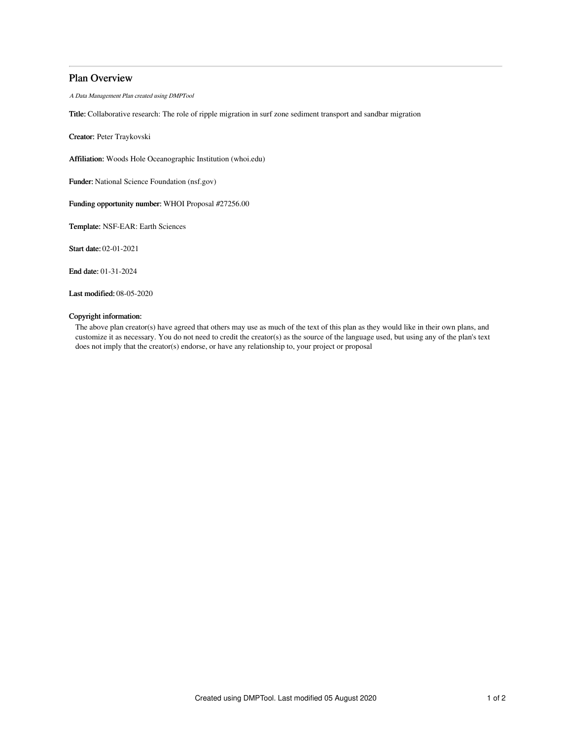# Plan Overview

A Data Management Plan created using DMPTool

Title: Collaborative research: The role of ripple migration in surf zone sediment transport and sandbar migration

Creator: Peter Traykovski

Affiliation: Woods Hole Oceanographic Institution (whoi.edu)

Funder: National Science Foundation (nsf.gov)

Funding opportunity number: WHOI Proposal #27256.00

Template: NSF-EAR: Earth Sciences

Start date: 02-01-2021

End date: 01-31-2024

Last modified: 08-05-2020

## Copyright information:

The above plan creator(s) have agreed that others may use as much of the text of this plan as they would like in their own plans, and customize it as necessary. You do not need to credit the creator(s) as the source of the language used, but using any of the plan's text does not imply that the creator(s) endorse, or have any relationship to, your project or proposal